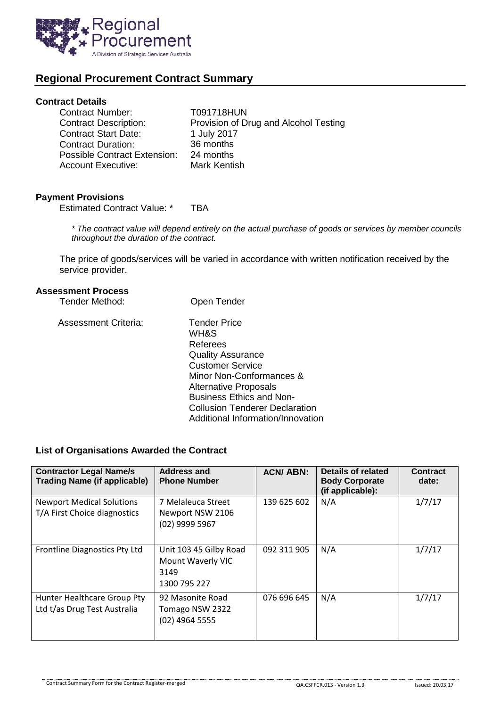

# **Regional Procurement Contract Summary**

## **Contract Details**

| <b>Contract Number:</b>      | T091718HUN                            |
|------------------------------|---------------------------------------|
| <b>Contract Description:</b> | Provision of Drug and Alcohol Testing |
| <b>Contract Start Date:</b>  | 1 July 2017                           |
| <b>Contract Duration:</b>    | 36 months                             |
| Possible Contract Extension: | 24 months                             |
| <b>Account Executive:</b>    | Mark Kentish                          |
|                              |                                       |

#### **Payment Provisions**

Estimated Contract Value: \* TBA

*\* The contract value will depend entirely on the actual purchase of goods or services by member councils throughout the duration of the contract.*

The price of goods/services will be varied in accordance with written notification received by the service provider.

#### **Assessment Process**

| Tender Method:       | Open Tender                                                                                                                                                                                                                                                                 |
|----------------------|-----------------------------------------------------------------------------------------------------------------------------------------------------------------------------------------------------------------------------------------------------------------------------|
| Assessment Criteria: | <b>Tender Price</b><br>WH&S<br>Referees<br><b>Quality Assurance</b><br><b>Customer Service</b><br>Minor Non-Conformances &<br><b>Alternative Proposals</b><br><b>Business Ethics and Non-</b><br><b>Collusion Tenderer Declaration</b><br>Additional Information/Innovation |

### **List of Organisations Awarded the Contract**

| <b>Contractor Legal Name/s</b><br><b>Trading Name (if applicable)</b> | <b>Address and</b><br><b>Phone Number</b>                           | <b>ACN/ABN:</b> | Details of related<br><b>Body Corporate</b><br>(if applicable): | <b>Contract</b><br>date: |
|-----------------------------------------------------------------------|---------------------------------------------------------------------|-----------------|-----------------------------------------------------------------|--------------------------|
| <b>Newport Medical Solutions</b><br>T/A First Choice diagnostics      | 7 Melaleuca Street<br>Newport NSW 2106<br>(02) 9999 5967            | 139 625 602     | N/A                                                             | 1/7/17                   |
| Frontline Diagnostics Pty Ltd                                         | Unit 103 45 Gilby Road<br>Mount Waverly VIC<br>3149<br>1300 795 227 | 092 311 905     | N/A                                                             | 1/7/17                   |
| Hunter Healthcare Group Pty<br>Ltd t/as Drug Test Australia           | 92 Masonite Road<br>Tomago NSW 2322<br>(02) 4964 5555               | 076 696 645     | N/A                                                             | 1/7/17                   |